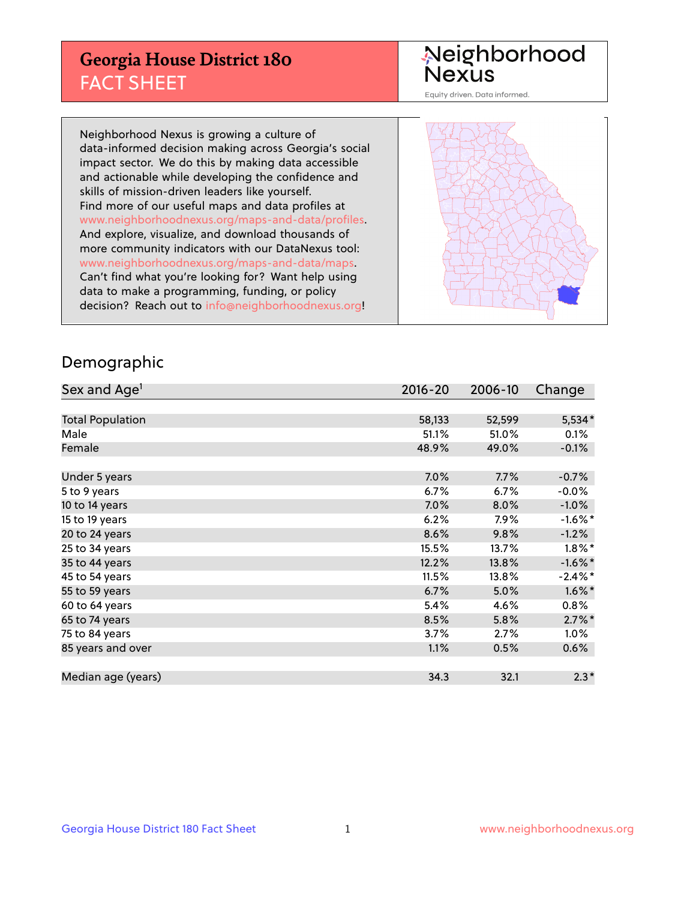## **Georgia House District 180** FACT SHEET

# Neighborhood<br>Nexus

Equity driven. Data informed.

Neighborhood Nexus is growing a culture of data-informed decision making across Georgia's social impact sector. We do this by making data accessible and actionable while developing the confidence and skills of mission-driven leaders like yourself. Find more of our useful maps and data profiles at www.neighborhoodnexus.org/maps-and-data/profiles. And explore, visualize, and download thousands of more community indicators with our DataNexus tool: www.neighborhoodnexus.org/maps-and-data/maps. Can't find what you're looking for? Want help using data to make a programming, funding, or policy decision? Reach out to [info@neighborhoodnexus.org!](mailto:info@neighborhoodnexus.org)



#### Demographic

| Sex and Age <sup>1</sup> | $2016 - 20$ | 2006-10 | Change     |
|--------------------------|-------------|---------|------------|
|                          |             |         |            |
| <b>Total Population</b>  | 58,133      | 52,599  | $5,534*$   |
| Male                     | 51.1%       | 51.0%   | 0.1%       |
| Female                   | 48.9%       | 49.0%   | $-0.1\%$   |
|                          |             |         |            |
| Under 5 years            | 7.0%        | 7.7%    | $-0.7%$    |
| 5 to 9 years             | $6.7\%$     | 6.7%    | $-0.0\%$   |
| 10 to 14 years           | 7.0%        | 8.0%    | $-1.0%$    |
| 15 to 19 years           | 6.2%        | $7.9\%$ | $-1.6\%$ * |
| 20 to 24 years           | 8.6%        | 9.8%    | $-1.2%$    |
| 25 to 34 years           | 15.5%       | 13.7%   | $1.8\%$ *  |
| 35 to 44 years           | 12.2%       | 13.8%   | $-1.6\%$ * |
| 45 to 54 years           | 11.5%       | 13.8%   | $-2.4\%$ * |
| 55 to 59 years           | 6.7%        | 5.0%    | $1.6\%$ *  |
| 60 to 64 years           | 5.4%        | 4.6%    | $0.8\%$    |
| 65 to 74 years           | 8.5%        | 5.8%    | $2.7\%$ *  |
| 75 to 84 years           | 3.7%        | 2.7%    | $1.0\%$    |
| 85 years and over        | 1.1%        | 0.5%    | 0.6%       |
|                          |             |         |            |
| Median age (years)       | 34.3        | 32.1    | $2.3*$     |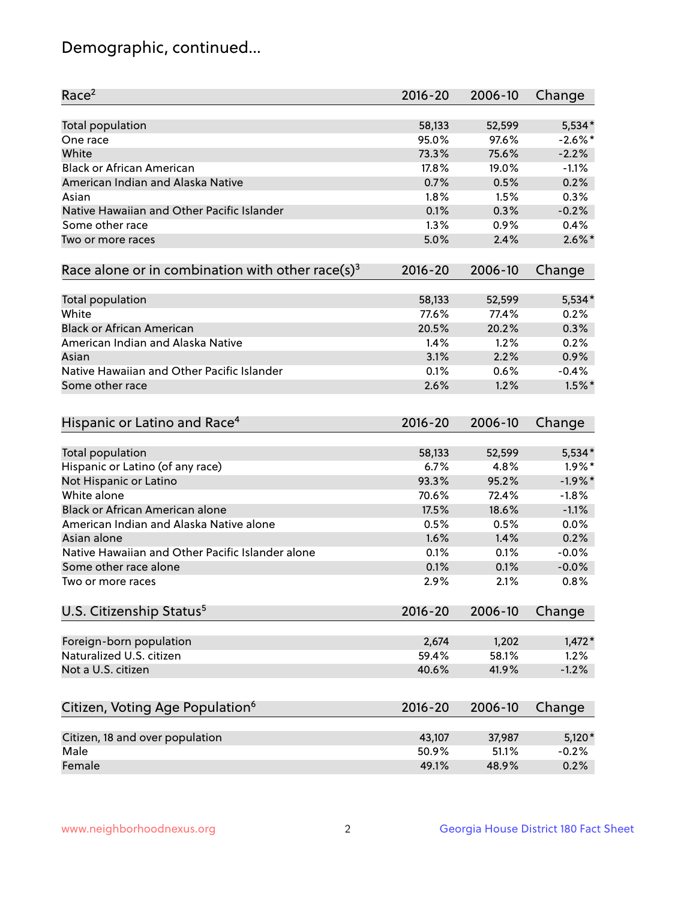## Demographic, continued...

| Race <sup>2</sup>                                            | $2016 - 20$ | 2006-10 | Change     |
|--------------------------------------------------------------|-------------|---------|------------|
| <b>Total population</b>                                      | 58,133      | 52,599  | $5,534*$   |
| One race                                                     | 95.0%       | 97.6%   | $-2.6\%$ * |
| White                                                        | 73.3%       | 75.6%   | $-2.2%$    |
| <b>Black or African American</b>                             | 17.8%       | 19.0%   | $-1.1%$    |
| American Indian and Alaska Native                            | 0.7%        | 0.5%    | 0.2%       |
| Asian                                                        | 1.8%        | 1.5%    | 0.3%       |
| Native Hawaiian and Other Pacific Islander                   | 0.1%        | 0.3%    | $-0.2%$    |
| Some other race                                              | 1.3%        | 0.9%    | 0.4%       |
| Two or more races                                            | 5.0%        | 2.4%    | $2.6\%$ *  |
| Race alone or in combination with other race(s) <sup>3</sup> | $2016 - 20$ | 2006-10 | Change     |
| Total population                                             | 58,133      | 52,599  | 5,534*     |
| White                                                        | 77.6%       | 77.4%   | 0.2%       |
| <b>Black or African American</b>                             | 20.5%       | 20.2%   | 0.3%       |
| American Indian and Alaska Native                            | 1.4%        | 1.2%    | 0.2%       |
| Asian                                                        | 3.1%        | 2.2%    | 0.9%       |
| Native Hawaiian and Other Pacific Islander                   | 0.1%        | 0.6%    | $-0.4%$    |
| Some other race                                              | 2.6%        | 1.2%    | $1.5\%$ *  |
| Hispanic or Latino and Race <sup>4</sup>                     | $2016 - 20$ | 2006-10 | Change     |
| <b>Total population</b>                                      | 58,133      | 52,599  | $5,534*$   |
| Hispanic or Latino (of any race)                             | 6.7%        | 4.8%    | $1.9\%$ *  |
| Not Hispanic or Latino                                       | 93.3%       | 95.2%   | $-1.9%$ *  |
| White alone                                                  | 70.6%       | 72.4%   | $-1.8%$    |
| <b>Black or African American alone</b>                       | 17.5%       | 18.6%   | $-1.1%$    |
| American Indian and Alaska Native alone                      | 0.5%        | 0.5%    | 0.0%       |
| Asian alone                                                  | 1.6%        | 1.4%    | 0.2%       |
| Native Hawaiian and Other Pacific Islander alone             | 0.1%        | 0.1%    | $-0.0%$    |
| Some other race alone                                        | 0.1%        | 0.1%    | $-0.0%$    |
| Two or more races                                            | 2.9%        | 2.1%    | 0.8%       |
| U.S. Citizenship Status <sup>5</sup>                         | $2016 - 20$ | 2006-10 | Change     |
| Foreign-born population                                      | 2,674       | 1,202   | $1,472*$   |
| Naturalized U.S. citizen                                     | 59.4%       | 58.1%   | 1.2%       |
| Not a U.S. citizen                                           | 40.6%       | 41.9%   | $-1.2%$    |
|                                                              |             |         |            |
| Citizen, Voting Age Population <sup>6</sup>                  | $2016 - 20$ | 2006-10 | Change     |
| Citizen, 18 and over population                              | 43,107      | 37,987  | $5,120*$   |
| Male                                                         | 50.9%       | 51.1%   | $-0.2%$    |
| Female                                                       | 49.1%       | 48.9%   | 0.2%       |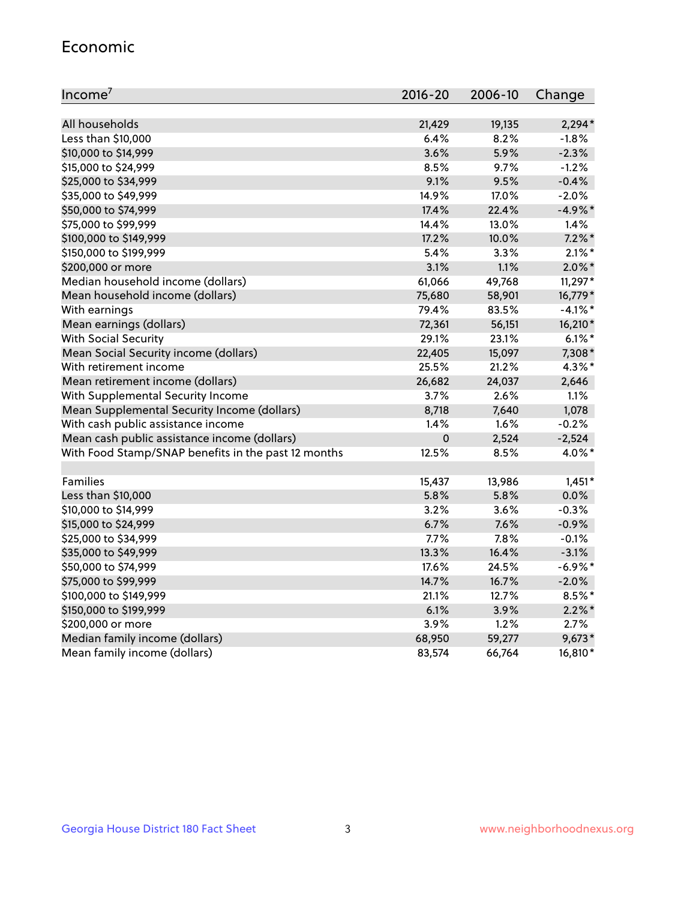#### Economic

| Income <sup>7</sup>                                 | $2016 - 20$ | 2006-10 | Change     |
|-----------------------------------------------------|-------------|---------|------------|
|                                                     |             |         |            |
| All households                                      | 21,429      | 19,135  | $2,294*$   |
| Less than \$10,000                                  | 6.4%        | 8.2%    | $-1.8%$    |
| \$10,000 to \$14,999                                | 3.6%        | 5.9%    | $-2.3%$    |
| \$15,000 to \$24,999                                | 8.5%        | 9.7%    | $-1.2%$    |
| \$25,000 to \$34,999                                | 9.1%        | 9.5%    | $-0.4%$    |
| \$35,000 to \$49,999                                | 14.9%       | 17.0%   | $-2.0%$    |
| \$50,000 to \$74,999                                | 17.4%       | 22.4%   | $-4.9%$ *  |
| \$75,000 to \$99,999                                | 14.4%       | 13.0%   | 1.4%       |
| \$100,000 to \$149,999                              | 17.2%       | 10.0%   | $7.2\%$ *  |
| \$150,000 to \$199,999                              | 5.4%        | 3.3%    | $2.1\%$ *  |
| \$200,000 or more                                   | 3.1%        | 1.1%    | $2.0\%$ *  |
| Median household income (dollars)                   | 61,066      | 49,768  | $11,297*$  |
| Mean household income (dollars)                     | 75,680      | 58,901  | 16,779*    |
| With earnings                                       | 79.4%       | 83.5%   | $-4.1\%$ * |
| Mean earnings (dollars)                             | 72,361      | 56,151  | 16,210*    |
| <b>With Social Security</b>                         | 29.1%       | 23.1%   | $6.1\%$ *  |
| Mean Social Security income (dollars)               | 22,405      | 15,097  | 7,308*     |
| With retirement income                              | 25.5%       | 21.2%   | 4.3%*      |
| Mean retirement income (dollars)                    | 26,682      | 24,037  | 2,646      |
| With Supplemental Security Income                   | $3.7\%$     | $2.6\%$ | 1.1%       |
| Mean Supplemental Security Income (dollars)         | 8,718       | 7,640   | 1,078      |
| With cash public assistance income                  | 1.4%        | 1.6%    | $-0.2%$    |
| Mean cash public assistance income (dollars)        | $\mathbf 0$ | 2,524   | $-2,524$   |
| With Food Stamp/SNAP benefits in the past 12 months | 12.5%       | 8.5%    | 4.0%*      |
|                                                     |             |         |            |
| Families                                            | 15,437      | 13,986  | $1,451*$   |
| Less than \$10,000                                  | 5.8%        | 5.8%    | $0.0\%$    |
| \$10,000 to \$14,999                                | 3.2%        | 3.6%    | $-0.3%$    |
| \$15,000 to \$24,999                                | 6.7%        | 7.6%    | $-0.9%$    |
| \$25,000 to \$34,999                                | 7.7%        | 7.8%    | $-0.1%$    |
| \$35,000 to \$49,999                                | 13.3%       | 16.4%   | $-3.1%$    |
| \$50,000 to \$74,999                                | 17.6%       | 24.5%   | $-6.9\%$ * |
| \$75,000 to \$99,999                                | 14.7%       | 16.7%   | $-2.0%$    |
| \$100,000 to \$149,999                              | 21.1%       | 12.7%   | 8.5%*      |
| \$150,000 to \$199,999                              | 6.1%        | 3.9%    | $2.2\%$ *  |
| \$200,000 or more                                   | 3.9%        | 1.2%    | 2.7%       |
| Median family income (dollars)                      | 68,950      | 59,277  | $9,673*$   |
| Mean family income (dollars)                        | 83,574      | 66,764  | 16,810*    |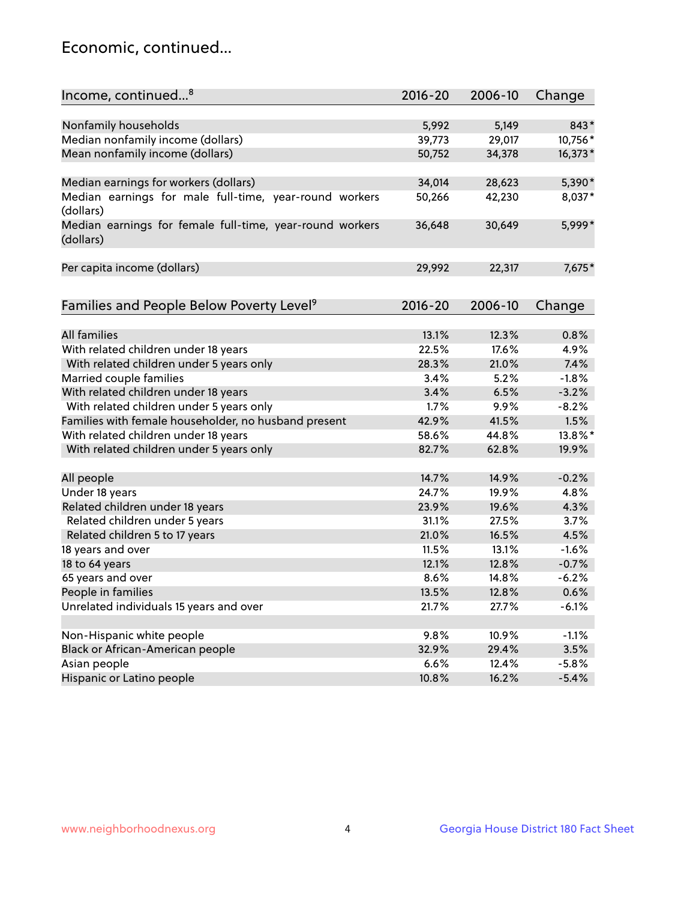## Economic, continued...

| Nonfamily households<br>5,992<br>5,149<br>843*<br>Median nonfamily income (dollars)<br>29,017<br>10,756*<br>39,773<br>Mean nonfamily income (dollars)<br>50,752<br>34,378<br>16,373*<br>Median earnings for workers (dollars)<br>34,014<br>5,390*<br>28,623<br>Median earnings for male full-time, year-round workers<br>42,230<br>8,037*<br>50,266<br>(dollars)<br>5,999*<br>Median earnings for female full-time, year-round workers<br>36,648<br>30,649<br>(dollars)<br>7,675*<br>Per capita income (dollars)<br>29,992<br>22,317<br>Families and People Below Poverty Level <sup>9</sup><br>2016-20<br>2006-10<br>Change<br><b>All families</b><br>13.1%<br>12.3%<br>0.8%<br>With related children under 18 years<br>22.5%<br>17.6%<br>4.9%<br>With related children under 5 years only<br>21.0%<br>7.4%<br>28.3%<br>Married couple families<br>5.2%<br>$-1.8%$<br>3.4%<br>With related children under 18 years<br>3.4%<br>6.5%<br>$-3.2%$<br>With related children under 5 years only<br>1.7%<br>9.9%<br>$-8.2%$<br>Families with female householder, no husband present<br>41.5%<br>1.5%<br>42.9%<br>With related children under 18 years<br>58.6%<br>44.8%<br>13.8%*<br>With related children under 5 years only<br>82.7%<br>62.8%<br>19.9%<br>$-0.2%$<br>All people<br>14.7%<br>14.9%<br>Under 18 years<br>4.8%<br>24.7%<br>19.9%<br>Related children under 18 years<br>19.6%<br>4.3%<br>23.9%<br>Related children under 5 years<br>3.7%<br>31.1%<br>27.5%<br>Related children 5 to 17 years<br>21.0%<br>4.5%<br>16.5%<br>18 years and over<br>11.5%<br>13.1%<br>$-1.6%$ | Income, continued <sup>8</sup> | $2016 - 20$ | 2006-10 | Change |
|----------------------------------------------------------------------------------------------------------------------------------------------------------------------------------------------------------------------------------------------------------------------------------------------------------------------------------------------------------------------------------------------------------------------------------------------------------------------------------------------------------------------------------------------------------------------------------------------------------------------------------------------------------------------------------------------------------------------------------------------------------------------------------------------------------------------------------------------------------------------------------------------------------------------------------------------------------------------------------------------------------------------------------------------------------------------------------------------------------------------------------------------------------------------------------------------------------------------------------------------------------------------------------------------------------------------------------------------------------------------------------------------------------------------------------------------------------------------------------------------------------------------------------------------------------------------------------|--------------------------------|-------------|---------|--------|
|                                                                                                                                                                                                                                                                                                                                                                                                                                                                                                                                                                                                                                                                                                                                                                                                                                                                                                                                                                                                                                                                                                                                                                                                                                                                                                                                                                                                                                                                                                                                                                                  |                                |             |         |        |
|                                                                                                                                                                                                                                                                                                                                                                                                                                                                                                                                                                                                                                                                                                                                                                                                                                                                                                                                                                                                                                                                                                                                                                                                                                                                                                                                                                                                                                                                                                                                                                                  |                                |             |         |        |
|                                                                                                                                                                                                                                                                                                                                                                                                                                                                                                                                                                                                                                                                                                                                                                                                                                                                                                                                                                                                                                                                                                                                                                                                                                                                                                                                                                                                                                                                                                                                                                                  |                                |             |         |        |
|                                                                                                                                                                                                                                                                                                                                                                                                                                                                                                                                                                                                                                                                                                                                                                                                                                                                                                                                                                                                                                                                                                                                                                                                                                                                                                                                                                                                                                                                                                                                                                                  |                                |             |         |        |
|                                                                                                                                                                                                                                                                                                                                                                                                                                                                                                                                                                                                                                                                                                                                                                                                                                                                                                                                                                                                                                                                                                                                                                                                                                                                                                                                                                                                                                                                                                                                                                                  |                                |             |         |        |
|                                                                                                                                                                                                                                                                                                                                                                                                                                                                                                                                                                                                                                                                                                                                                                                                                                                                                                                                                                                                                                                                                                                                                                                                                                                                                                                                                                                                                                                                                                                                                                                  |                                |             |         |        |
|                                                                                                                                                                                                                                                                                                                                                                                                                                                                                                                                                                                                                                                                                                                                                                                                                                                                                                                                                                                                                                                                                                                                                                                                                                                                                                                                                                                                                                                                                                                                                                                  |                                |             |         |        |
|                                                                                                                                                                                                                                                                                                                                                                                                                                                                                                                                                                                                                                                                                                                                                                                                                                                                                                                                                                                                                                                                                                                                                                                                                                                                                                                                                                                                                                                                                                                                                                                  |                                |             |         |        |
|                                                                                                                                                                                                                                                                                                                                                                                                                                                                                                                                                                                                                                                                                                                                                                                                                                                                                                                                                                                                                                                                                                                                                                                                                                                                                                                                                                                                                                                                                                                                                                                  |                                |             |         |        |
|                                                                                                                                                                                                                                                                                                                                                                                                                                                                                                                                                                                                                                                                                                                                                                                                                                                                                                                                                                                                                                                                                                                                                                                                                                                                                                                                                                                                                                                                                                                                                                                  |                                |             |         |        |
|                                                                                                                                                                                                                                                                                                                                                                                                                                                                                                                                                                                                                                                                                                                                                                                                                                                                                                                                                                                                                                                                                                                                                                                                                                                                                                                                                                                                                                                                                                                                                                                  |                                |             |         |        |
|                                                                                                                                                                                                                                                                                                                                                                                                                                                                                                                                                                                                                                                                                                                                                                                                                                                                                                                                                                                                                                                                                                                                                                                                                                                                                                                                                                                                                                                                                                                                                                                  |                                |             |         |        |
|                                                                                                                                                                                                                                                                                                                                                                                                                                                                                                                                                                                                                                                                                                                                                                                                                                                                                                                                                                                                                                                                                                                                                                                                                                                                                                                                                                                                                                                                                                                                                                                  |                                |             |         |        |
|                                                                                                                                                                                                                                                                                                                                                                                                                                                                                                                                                                                                                                                                                                                                                                                                                                                                                                                                                                                                                                                                                                                                                                                                                                                                                                                                                                                                                                                                                                                                                                                  |                                |             |         |        |
|                                                                                                                                                                                                                                                                                                                                                                                                                                                                                                                                                                                                                                                                                                                                                                                                                                                                                                                                                                                                                                                                                                                                                                                                                                                                                                                                                                                                                                                                                                                                                                                  |                                |             |         |        |
|                                                                                                                                                                                                                                                                                                                                                                                                                                                                                                                                                                                                                                                                                                                                                                                                                                                                                                                                                                                                                                                                                                                                                                                                                                                                                                                                                                                                                                                                                                                                                                                  |                                |             |         |        |
|                                                                                                                                                                                                                                                                                                                                                                                                                                                                                                                                                                                                                                                                                                                                                                                                                                                                                                                                                                                                                                                                                                                                                                                                                                                                                                                                                                                                                                                                                                                                                                                  |                                |             |         |        |
|                                                                                                                                                                                                                                                                                                                                                                                                                                                                                                                                                                                                                                                                                                                                                                                                                                                                                                                                                                                                                                                                                                                                                                                                                                                                                                                                                                                                                                                                                                                                                                                  |                                |             |         |        |
|                                                                                                                                                                                                                                                                                                                                                                                                                                                                                                                                                                                                                                                                                                                                                                                                                                                                                                                                                                                                                                                                                                                                                                                                                                                                                                                                                                                                                                                                                                                                                                                  |                                |             |         |        |
|                                                                                                                                                                                                                                                                                                                                                                                                                                                                                                                                                                                                                                                                                                                                                                                                                                                                                                                                                                                                                                                                                                                                                                                                                                                                                                                                                                                                                                                                                                                                                                                  |                                |             |         |        |
|                                                                                                                                                                                                                                                                                                                                                                                                                                                                                                                                                                                                                                                                                                                                                                                                                                                                                                                                                                                                                                                                                                                                                                                                                                                                                                                                                                                                                                                                                                                                                                                  |                                |             |         |        |
|                                                                                                                                                                                                                                                                                                                                                                                                                                                                                                                                                                                                                                                                                                                                                                                                                                                                                                                                                                                                                                                                                                                                                                                                                                                                                                                                                                                                                                                                                                                                                                                  |                                |             |         |        |
|                                                                                                                                                                                                                                                                                                                                                                                                                                                                                                                                                                                                                                                                                                                                                                                                                                                                                                                                                                                                                                                                                                                                                                                                                                                                                                                                                                                                                                                                                                                                                                                  |                                |             |         |        |
|                                                                                                                                                                                                                                                                                                                                                                                                                                                                                                                                                                                                                                                                                                                                                                                                                                                                                                                                                                                                                                                                                                                                                                                                                                                                                                                                                                                                                                                                                                                                                                                  |                                |             |         |        |
|                                                                                                                                                                                                                                                                                                                                                                                                                                                                                                                                                                                                                                                                                                                                                                                                                                                                                                                                                                                                                                                                                                                                                                                                                                                                                                                                                                                                                                                                                                                                                                                  |                                |             |         |        |
|                                                                                                                                                                                                                                                                                                                                                                                                                                                                                                                                                                                                                                                                                                                                                                                                                                                                                                                                                                                                                                                                                                                                                                                                                                                                                                                                                                                                                                                                                                                                                                                  |                                |             |         |        |
|                                                                                                                                                                                                                                                                                                                                                                                                                                                                                                                                                                                                                                                                                                                                                                                                                                                                                                                                                                                                                                                                                                                                                                                                                                                                                                                                                                                                                                                                                                                                                                                  |                                |             |         |        |
| 18 to 64 years<br>12.1%<br>12.8%<br>$-0.7%$                                                                                                                                                                                                                                                                                                                                                                                                                                                                                                                                                                                                                                                                                                                                                                                                                                                                                                                                                                                                                                                                                                                                                                                                                                                                                                                                                                                                                                                                                                                                      |                                |             |         |        |
| 65 years and over<br>8.6%<br>$-6.2%$<br>14.8%                                                                                                                                                                                                                                                                                                                                                                                                                                                                                                                                                                                                                                                                                                                                                                                                                                                                                                                                                                                                                                                                                                                                                                                                                                                                                                                                                                                                                                                                                                                                    |                                |             |         |        |
| People in families<br>13.5%<br>0.6%<br>12.8%                                                                                                                                                                                                                                                                                                                                                                                                                                                                                                                                                                                                                                                                                                                                                                                                                                                                                                                                                                                                                                                                                                                                                                                                                                                                                                                                                                                                                                                                                                                                     |                                |             |         |        |
| Unrelated individuals 15 years and over                                                                                                                                                                                                                                                                                                                                                                                                                                                                                                                                                                                                                                                                                                                                                                                                                                                                                                                                                                                                                                                                                                                                                                                                                                                                                                                                                                                                                                                                                                                                          |                                |             |         |        |
| 21.7%<br>27.7%<br>$-6.1%$                                                                                                                                                                                                                                                                                                                                                                                                                                                                                                                                                                                                                                                                                                                                                                                                                                                                                                                                                                                                                                                                                                                                                                                                                                                                                                                                                                                                                                                                                                                                                        |                                |             |         |        |
| Non-Hispanic white people<br>9.8%<br>10.9%<br>$-1.1%$                                                                                                                                                                                                                                                                                                                                                                                                                                                                                                                                                                                                                                                                                                                                                                                                                                                                                                                                                                                                                                                                                                                                                                                                                                                                                                                                                                                                                                                                                                                            |                                |             |         |        |
| Black or African-American people<br>29.4%<br>3.5%<br>32.9%                                                                                                                                                                                                                                                                                                                                                                                                                                                                                                                                                                                                                                                                                                                                                                                                                                                                                                                                                                                                                                                                                                                                                                                                                                                                                                                                                                                                                                                                                                                       |                                |             |         |        |
| $-5.8%$<br>Asian people<br>6.6%<br>12.4%                                                                                                                                                                                                                                                                                                                                                                                                                                                                                                                                                                                                                                                                                                                                                                                                                                                                                                                                                                                                                                                                                                                                                                                                                                                                                                                                                                                                                                                                                                                                         |                                |             |         |        |
| Hispanic or Latino people<br>10.8%<br>16.2%<br>$-5.4%$                                                                                                                                                                                                                                                                                                                                                                                                                                                                                                                                                                                                                                                                                                                                                                                                                                                                                                                                                                                                                                                                                                                                                                                                                                                                                                                                                                                                                                                                                                                           |                                |             |         |        |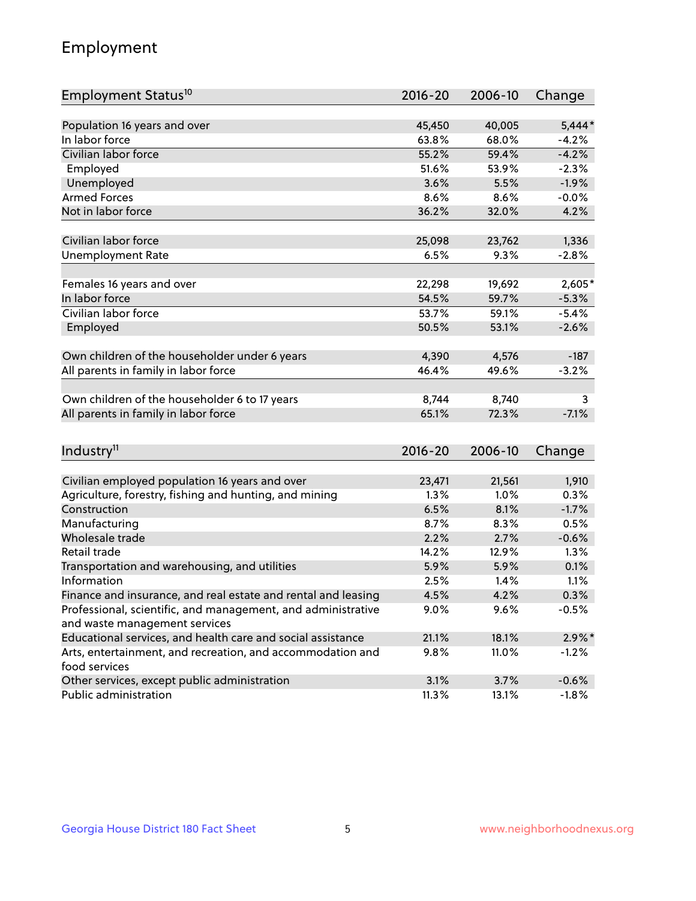## Employment

| Employment Status <sup>10</sup>                                             | $2016 - 20$ | 2006-10 | Change    |
|-----------------------------------------------------------------------------|-------------|---------|-----------|
|                                                                             |             |         |           |
| Population 16 years and over                                                | 45,450      | 40,005  | $5,444*$  |
| In labor force                                                              | 63.8%       | 68.0%   | $-4.2%$   |
| Civilian labor force                                                        | 55.2%       | 59.4%   | $-4.2%$   |
| Employed                                                                    | 51.6%       | 53.9%   | $-2.3%$   |
| Unemployed                                                                  | 3.6%        | 5.5%    | $-1.9%$   |
| <b>Armed Forces</b>                                                         | 8.6%        | 8.6%    | $-0.0%$   |
| Not in labor force                                                          | 36.2%       | 32.0%   | 4.2%      |
|                                                                             |             |         |           |
| Civilian labor force                                                        | 25,098      | 23,762  | 1,336     |
| <b>Unemployment Rate</b>                                                    | 6.5%        | 9.3%    | $-2.8%$   |
| Females 16 years and over                                                   | 22,298      | 19,692  | 2,605*    |
| In labor force                                                              | 54.5%       | 59.7%   | $-5.3%$   |
| Civilian labor force                                                        | 53.7%       | 59.1%   | $-5.4%$   |
| Employed                                                                    | 50.5%       | 53.1%   | $-2.6%$   |
|                                                                             |             |         |           |
| Own children of the householder under 6 years                               | 4,390       | 4,576   | $-187$    |
| All parents in family in labor force                                        | 46.4%       | 49.6%   | $-3.2%$   |
|                                                                             |             |         |           |
| Own children of the householder 6 to 17 years                               | 8,744       | 8,740   | 3         |
| All parents in family in labor force                                        | 65.1%       | 72.3%   | $-7.1%$   |
|                                                                             |             |         |           |
| Industry <sup>11</sup>                                                      | $2016 - 20$ | 2006-10 | Change    |
|                                                                             |             |         |           |
| Civilian employed population 16 years and over                              | 23,471      | 21,561  | 1,910     |
| Agriculture, forestry, fishing and hunting, and mining                      | 1.3%        | 1.0%    | 0.3%      |
| Construction                                                                | 6.5%        | 8.1%    | $-1.7%$   |
| Manufacturing                                                               | 8.7%        | 8.3%    | 0.5%      |
| Wholesale trade                                                             | 2.2%        | 2.7%    | $-0.6%$   |
| Retail trade                                                                | 14.2%       | 12.9%   | 1.3%      |
| Transportation and warehousing, and utilities                               | 5.9%        | 5.9%    | 0.1%      |
| Information                                                                 | 2.5%        | 1.4%    | 1.1%      |
| Finance and insurance, and real estate and rental and leasing               | 4.5%        | 4.2%    | 0.3%      |
| Professional, scientific, and management, and administrative                | $9.0\%$     | 9.6%    | $-0.5%$   |
| and waste management services                                               |             |         |           |
| Educational services, and health care and social assistance                 | 21.1%       | 18.1%   | $2.9\%$ * |
| Arts, entertainment, and recreation, and accommodation and<br>food services | 9.8%        | 11.0%   | $-1.2%$   |
| Other services, except public administration                                | 3.1%        | 3.7%    | $-0.6%$   |
| Public administration                                                       | 11.3%       | 13.1%   | $-1.8%$   |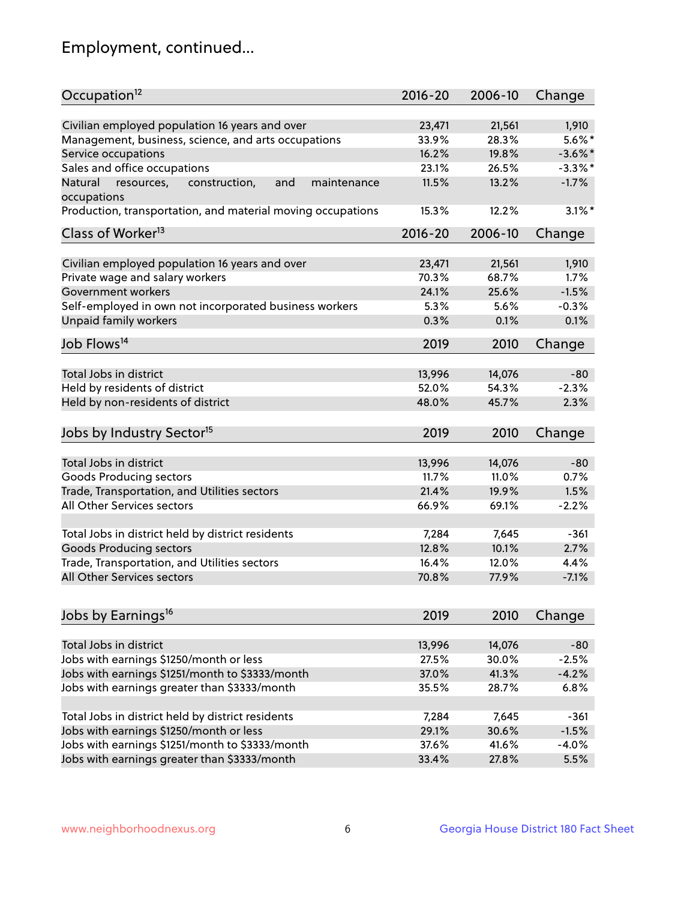## Employment, continued...

| Occupation <sup>12</sup>                                    | $2016 - 20$ | 2006-10 | Change     |
|-------------------------------------------------------------|-------------|---------|------------|
| Civilian employed population 16 years and over              | 23,471      | 21,561  | 1,910      |
| Management, business, science, and arts occupations         | 33.9%       | 28.3%   | $5.6\%$ *  |
| Service occupations                                         | 16.2%       | 19.8%   | $-3.6\%$ * |
| Sales and office occupations                                | 23.1%       | 26.5%   | $-3.3\%$ * |
| and<br>Natural<br>maintenance                               | 11.5%       | 13.2%   | $-1.7%$    |
| resources,<br>construction,<br>occupations                  |             |         |            |
| Production, transportation, and material moving occupations | 15.3%       | 12.2%   | $3.1\%$ *  |
| Class of Worker <sup>13</sup>                               | $2016 - 20$ | 2006-10 | Change     |
|                                                             |             |         |            |
| Civilian employed population 16 years and over              | 23,471      | 21,561  | 1,910      |
| Private wage and salary workers                             | 70.3%       | 68.7%   | 1.7%       |
| Government workers                                          | 24.1%       | 25.6%   | $-1.5%$    |
| Self-employed in own not incorporated business workers      | 5.3%        | 5.6%    | $-0.3%$    |
| Unpaid family workers                                       | 0.3%        | 0.1%    | 0.1%       |
| Job Flows <sup>14</sup>                                     | 2019        | 2010    | Change     |
|                                                             |             |         |            |
| Total Jobs in district                                      | 13,996      | 14,076  | $-80$      |
| Held by residents of district                               | 52.0%       | 54.3%   | $-2.3%$    |
| Held by non-residents of district                           | 48.0%       | 45.7%   | 2.3%       |
| Jobs by Industry Sector <sup>15</sup>                       | 2019        | 2010    | Change     |
|                                                             |             |         |            |
| Total Jobs in district                                      | 13,996      | 14,076  | $-80$      |
| Goods Producing sectors                                     | 11.7%       | 11.0%   | 0.7%       |
| Trade, Transportation, and Utilities sectors                | 21.4%       | 19.9%   | 1.5%       |
| All Other Services sectors                                  | 66.9%       | 69.1%   | $-2.2%$    |
| Total Jobs in district held by district residents           | 7,284       | 7,645   | $-361$     |
| <b>Goods Producing sectors</b>                              | 12.8%       | 10.1%   | 2.7%       |
| Trade, Transportation, and Utilities sectors                | 16.4%       | 12.0%   | 4.4%       |
| All Other Services sectors                                  | 70.8%       | 77.9%   | $-7.1%$    |
|                                                             |             |         |            |
| Jobs by Earnings <sup>16</sup>                              | 2019        | 2010    | Change     |
|                                                             |             |         | $-80$      |
| Total Jobs in district                                      | 13,996      | 14,076  |            |
| Jobs with earnings \$1250/month or less                     | 27.5%       | 30.0%   | $-2.5%$    |
| Jobs with earnings \$1251/month to \$3333/month             | 37.0%       | 41.3%   | $-4.2%$    |
| Jobs with earnings greater than \$3333/month                | 35.5%       | 28.7%   | 6.8%       |
| Total Jobs in district held by district residents           | 7,284       | 7,645   | $-361$     |
| Jobs with earnings \$1250/month or less                     | 29.1%       | 30.6%   | $-1.5%$    |
| Jobs with earnings \$1251/month to \$3333/month             | 37.6%       | 41.6%   | $-4.0%$    |
| Jobs with earnings greater than \$3333/month                | 33.4%       | 27.8%   | 5.5%       |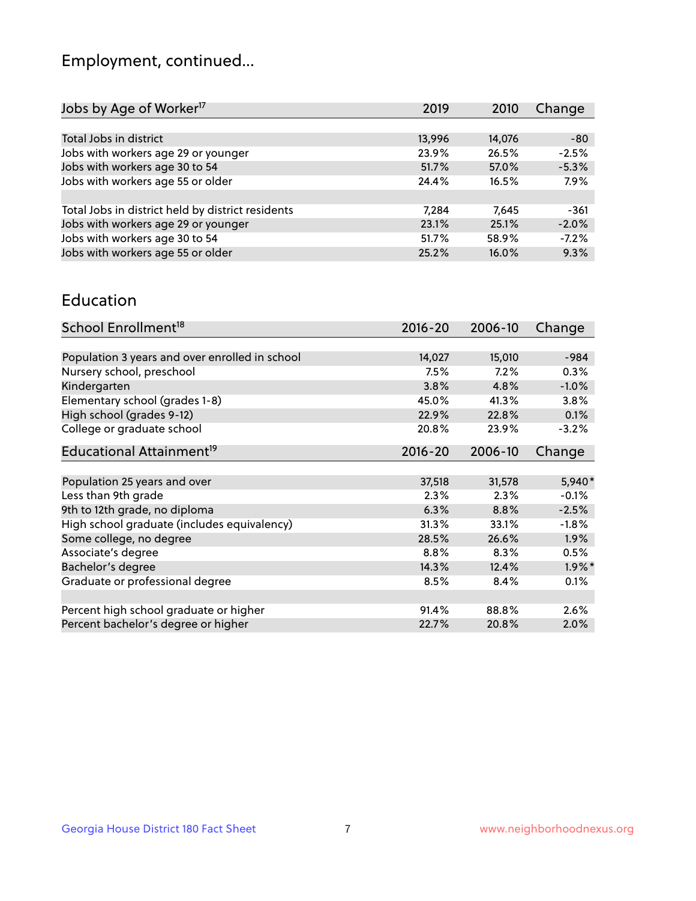## Employment, continued...

| Jobs by Age of Worker <sup>17</sup>               | 2019   | 2010   | Change  |
|---------------------------------------------------|--------|--------|---------|
|                                                   |        |        |         |
| Total Jobs in district                            | 13,996 | 14,076 | -80     |
| Jobs with workers age 29 or younger               | 23.9%  | 26.5%  | $-2.5%$ |
| Jobs with workers age 30 to 54                    | 51.7%  | 57.0%  | $-5.3%$ |
| Jobs with workers age 55 or older                 | 24.4%  | 16.5%  | 7.9%    |
|                                                   |        |        |         |
| Total Jobs in district held by district residents | 7.284  | 7.645  | $-361$  |
| Jobs with workers age 29 or younger               | 23.1%  | 25.1%  | $-2.0%$ |
| Jobs with workers age 30 to 54                    | 51.7%  | 58.9%  | $-7.2%$ |
| Jobs with workers age 55 or older                 | 25.2%  | 16.0%  | 9.3%    |

#### Education

| School Enrollment <sup>18</sup>                | $2016 - 20$ | 2006-10 | Change    |
|------------------------------------------------|-------------|---------|-----------|
|                                                |             |         |           |
| Population 3 years and over enrolled in school | 14,027      | 15,010  | $-984$    |
| Nursery school, preschool                      | $7.5\%$     | 7.2%    | 0.3%      |
| Kindergarten                                   | 3.8%        | 4.8%    | $-1.0\%$  |
| Elementary school (grades 1-8)                 | 45.0%       | 41.3%   | 3.8%      |
| High school (grades 9-12)                      | 22.9%       | 22.8%   | 0.1%      |
| College or graduate school                     | 20.8%       | 23.9%   | $-3.2%$   |
| Educational Attainment <sup>19</sup>           | $2016 - 20$ | 2006-10 | Change    |
|                                                |             |         |           |
| Population 25 years and over                   | 37,518      | 31,578  | 5,940*    |
| Less than 9th grade                            | 2.3%        | 2.3%    | $-0.1%$   |
| 9th to 12th grade, no diploma                  | 6.3%        | 8.8%    | $-2.5%$   |
| High school graduate (includes equivalency)    | 31.3%       | 33.1%   | $-1.8\%$  |
| Some college, no degree                        | 28.5%       | 26.6%   | 1.9%      |
| Associate's degree                             | $8.8\%$     | 8.3%    | 0.5%      |
| Bachelor's degree                              | 14.3%       | 12.4%   | $1.9\%$ * |
| Graduate or professional degree                | 8.5%        | 8.4%    | 0.1%      |
|                                                |             |         |           |
| Percent high school graduate or higher         | 91.4%       | 88.8%   | 2.6%      |
| Percent bachelor's degree or higher            | 22.7%       | 20.8%   | 2.0%      |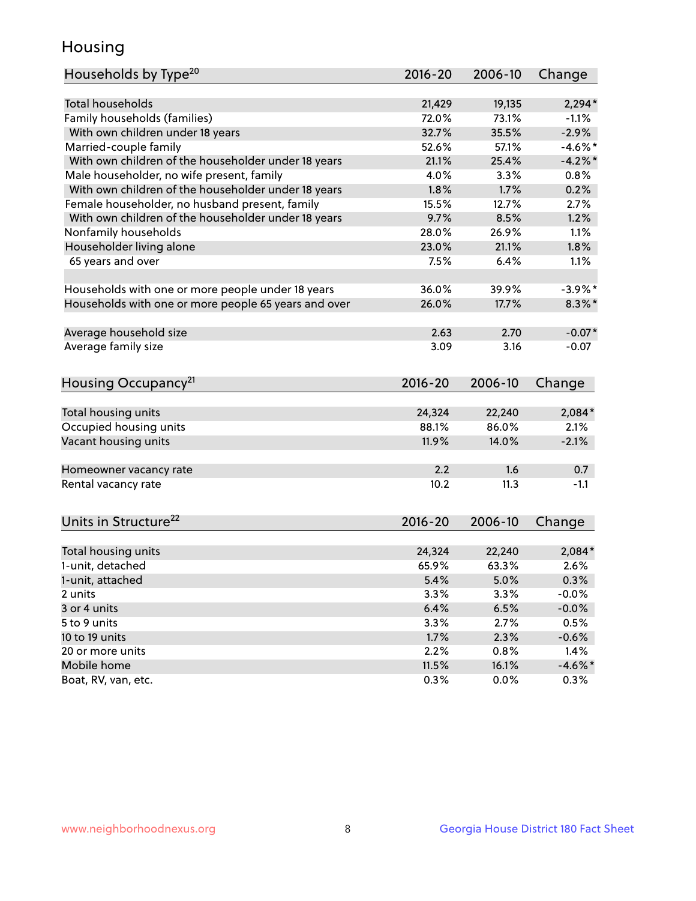## Housing

| Households by Type <sup>20</sup>                     | 2016-20 | 2006-10 | Change         |
|------------------------------------------------------|---------|---------|----------------|
|                                                      |         |         |                |
| <b>Total households</b>                              | 21,429  | 19,135  | $2,294*$       |
| Family households (families)                         | 72.0%   | 73.1%   | $-1.1%$        |
| With own children under 18 years                     | 32.7%   | 35.5%   | $-2.9%$        |
| Married-couple family                                | 52.6%   | 57.1%   | $-4.6%$ *      |
| With own children of the householder under 18 years  | 21.1%   | 25.4%   | $-4.2%$        |
| Male householder, no wife present, family            | 4.0%    | 3.3%    | 0.8%           |
| With own children of the householder under 18 years  | 1.8%    | 1.7%    | 0.2%           |
| Female householder, no husband present, family       | 15.5%   | 12.7%   | 2.7%           |
| With own children of the householder under 18 years  | 9.7%    | 8.5%    | 1.2%           |
| Nonfamily households                                 | 28.0%   | 26.9%   | 1.1%           |
| Householder living alone                             | 23.0%   | 21.1%   | 1.8%           |
| 65 years and over                                    | 7.5%    | 6.4%    | 1.1%           |
|                                                      |         |         |                |
| Households with one or more people under 18 years    | 36.0%   | 39.9%   | $-3.9\%$ *     |
| Households with one or more people 65 years and over | 26.0%   | 17.7%   | $8.3\%$ *      |
|                                                      |         |         |                |
| Average household size                               | 2.63    | 2.70    | $-0.07*$       |
| Average family size                                  | 3.09    | 3.16    | $-0.07$        |
|                                                      |         |         |                |
| Housing Occupancy <sup>21</sup>                      | 2016-20 | 2006-10 | Change         |
|                                                      |         |         |                |
| Total housing units                                  | 24,324  | 22,240  | 2,084*         |
| Occupied housing units                               | 88.1%   | 86.0%   | 2.1%           |
| Vacant housing units                                 | 11.9%   | 14.0%   | $-2.1%$        |
|                                                      |         |         |                |
| Homeowner vacancy rate                               | 2.2     | 1.6     | 0.7            |
| Rental vacancy rate                                  | 10.2    | 11.3    | $-1.1$         |
|                                                      |         |         |                |
|                                                      |         |         |                |
| Units in Structure <sup>22</sup>                     | 2016-20 | 2006-10 | Change         |
|                                                      |         |         |                |
| Total housing units                                  | 24,324  | 22,240  | 2,084*<br>2.6% |
| 1-unit, detached                                     | 65.9%   | 63.3%   |                |
| 1-unit, attached                                     | 5.4%    | 5.0%    | 0.3%           |
| 2 units                                              | 3.3%    | 3.3%    | $-0.0%$        |
| 3 or 4 units                                         | 6.4%    | 6.5%    | $-0.0%$        |
| 5 to 9 units                                         | 3.3%    | 2.7%    | 0.5%           |
| 10 to 19 units                                       | 1.7%    | 2.3%    | $-0.6%$        |
| 20 or more units                                     | 2.2%    | 0.8%    | 1.4%           |
| Mobile home                                          | 11.5%   | 16.1%   | $-4.6\%$ *     |
| Boat, RV, van, etc.                                  | 0.3%    | 0.0%    | 0.3%           |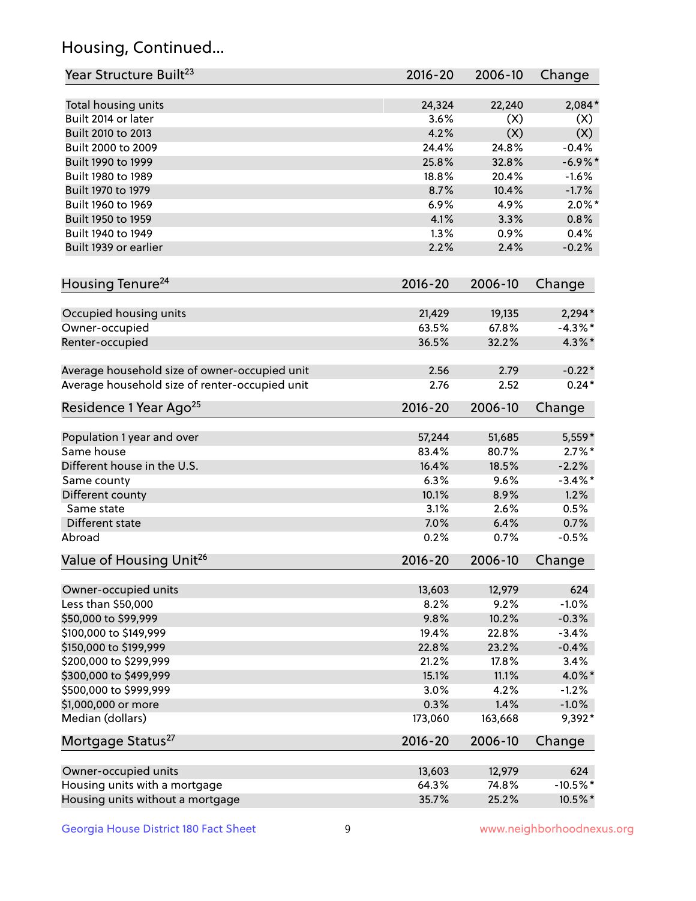## Housing, Continued...

| Year Structure Built <sup>23</sup>             | 2016-20     | 2006-10 | Change     |
|------------------------------------------------|-------------|---------|------------|
| Total housing units                            | 24,324      | 22,240  | 2,084*     |
| Built 2014 or later                            | 3.6%        | (X)     | (X)        |
| Built 2010 to 2013                             | 4.2%        | (X)     | (X)        |
| Built 2000 to 2009                             | 24.4%       | 24.8%   | $-0.4%$    |
| Built 1990 to 1999                             | 25.8%       | 32.8%   | $-6.9\%$ * |
| Built 1980 to 1989                             | 18.8%       | 20.4%   | $-1.6%$    |
| Built 1970 to 1979                             | 8.7%        | 10.4%   | $-1.7%$    |
| Built 1960 to 1969                             | 6.9%        | 4.9%    | $2.0\%$ *  |
| Built 1950 to 1959                             | 4.1%        | 3.3%    | 0.8%       |
| Built 1940 to 1949                             | 1.3%        | 0.9%    | 0.4%       |
| Built 1939 or earlier                          | 2.2%        | 2.4%    | $-0.2%$    |
|                                                |             |         |            |
| Housing Tenure <sup>24</sup>                   | $2016 - 20$ | 2006-10 | Change     |
| Occupied housing units                         | 21,429      | 19,135  | $2,294*$   |
| Owner-occupied                                 | 63.5%       | 67.8%   | $-4.3\%$ * |
| Renter-occupied                                | 36.5%       | 32.2%   | $4.3\%$ *  |
| Average household size of owner-occupied unit  | 2.56        | 2.79    | $-0.22*$   |
| Average household size of renter-occupied unit | 2.76        | 2.52    | $0.24*$    |
| Residence 1 Year Ago <sup>25</sup>             | $2016 - 20$ | 2006-10 | Change     |
| Population 1 year and over                     | 57,244      | 51,685  | $5,559*$   |
| Same house                                     | 83.4%       | 80.7%   | $2.7\%$ *  |
| Different house in the U.S.                    | 16.4%       | 18.5%   | $-2.2%$    |
| Same county                                    | 6.3%        | 9.6%    | $-3.4\%$ * |
| Different county                               | 10.1%       | 8.9%    | 1.2%       |
| Same state                                     | 3.1%        | 2.6%    | 0.5%       |
| Different state                                | 7.0%        | 6.4%    | 0.7%       |
|                                                |             | 0.7%    |            |
| Abroad                                         | 0.2%        |         | $-0.5%$    |
| Value of Housing Unit <sup>26</sup>            | $2016 - 20$ | 2006-10 | Change     |
| Owner-occupied units                           | 13,603      | 12,979  | 624        |
| Less than \$50,000                             | 8.2%        | 9.2%    | $-1.0%$    |
| \$50,000 to \$99,999                           | 9.8%        | 10.2%   | $-0.3%$    |
| \$100,000 to \$149,999                         | 19.4%       | 22.8%   | $-3.4%$    |
| \$150,000 to \$199,999                         | 22.8%       | 23.2%   | $-0.4%$    |
| \$200,000 to \$299,999                         | 21.2%       | 17.8%   | 3.4%       |
| \$300,000 to \$499,999                         | 15.1%       | 11.1%   | 4.0%*      |
| \$500,000 to \$999,999                         | 3.0%        | 4.2%    | $-1.2%$    |
| \$1,000,000 or more                            | 0.3%        | 1.4%    | $-1.0%$    |
| Median (dollars)                               | 173,060     | 163,668 | 9,392*     |
| Mortgage Status <sup>27</sup>                  | $2016 - 20$ | 2006-10 | Change     |
| Owner-occupied units                           | 13,603      | 12,979  | 624        |
| Housing units with a mortgage                  | 64.3%       | 74.8%   | $-10.5%$ * |
| Housing units without a mortgage               | 35.7%       | 25.2%   | 10.5%*     |
|                                                |             |         |            |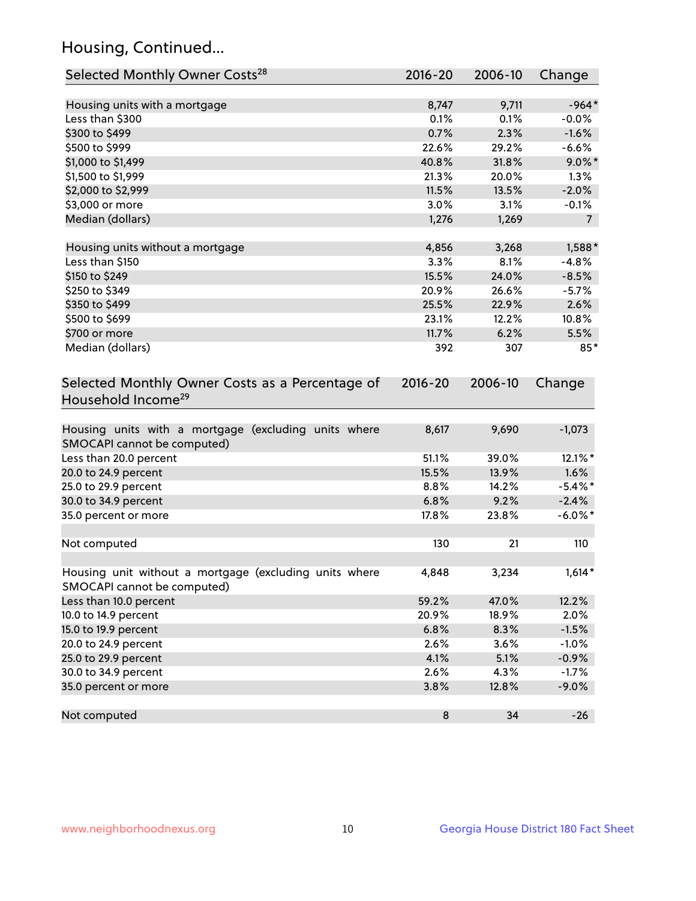## Housing, Continued...

| Selected Monthly Owner Costs <sup>28</sup>                                            | 2016-20 | 2006-10 | Change         |
|---------------------------------------------------------------------------------------|---------|---------|----------------|
| Housing units with a mortgage                                                         | 8,747   | 9,711   | $-964*$        |
| Less than \$300                                                                       | 0.1%    | 0.1%    | $-0.0%$        |
| \$300 to \$499                                                                        | 0.7%    | 2.3%    | $-1.6%$        |
| \$500 to \$999                                                                        | 22.6%   | 29.2%   | $-6.6%$        |
| \$1,000 to \$1,499                                                                    | 40.8%   | 31.8%   | $9.0\%$ *      |
| \$1,500 to \$1,999                                                                    | 21.3%   | 20.0%   | 1.3%           |
| \$2,000 to \$2,999                                                                    | 11.5%   | 13.5%   | $-2.0%$        |
| \$3,000 or more                                                                       | 3.0%    | 3.1%    | $-0.1%$        |
| Median (dollars)                                                                      | 1,276   | 1,269   | $\overline{7}$ |
| Housing units without a mortgage                                                      | 4,856   | 3,268   | $1,588*$       |
| Less than \$150                                                                       | 3.3%    | 8.1%    | $-4.8%$        |
| \$150 to \$249                                                                        | 15.5%   | 24.0%   | $-8.5%$        |
| \$250 to \$349                                                                        | 20.9%   | 26.6%   | $-5.7%$        |
| \$350 to \$499                                                                        | 25.5%   | 22.9%   | 2.6%           |
| \$500 to \$699                                                                        | 23.1%   | 12.2%   | 10.8%          |
| \$700 or more                                                                         | 11.7%   | 6.2%    | 5.5%           |
| Median (dollars)                                                                      | 392     | 307     | $85*$          |
| Selected Monthly Owner Costs as a Percentage of<br>Household Income <sup>29</sup>     |         |         | Change         |
| Housing units with a mortgage (excluding units where<br>SMOCAPI cannot be computed)   | 8,617   | 9,690   | $-1,073$       |
| Less than 20.0 percent                                                                | 51.1%   | 39.0%   | 12.1%*         |
| 20.0 to 24.9 percent                                                                  | 15.5%   | 13.9%   | 1.6%           |
| 25.0 to 29.9 percent                                                                  | 8.8%    | 14.2%   | $-5.4\%$ *     |
| 30.0 to 34.9 percent                                                                  | 6.8%    | 9.2%    | $-2.4%$        |
| 35.0 percent or more                                                                  | 17.8%   | 23.8%   | $-6.0\%$ *     |
| Not computed                                                                          | 130     | 21      | 110            |
| Housing unit without a mortgage (excluding units where<br>SMOCAPI cannot be computed) | 4,848   | 3,234   | $1,614*$       |
| Less than 10.0 percent                                                                | 59.2%   | 47.0%   | 12.2%          |
| 10.0 to 14.9 percent                                                                  | 20.9%   | 18.9%   | 2.0%           |
| 15.0 to 19.9 percent                                                                  | 6.8%    | 8.3%    | $-1.5%$        |
| 20.0 to 24.9 percent                                                                  | 2.6%    | 3.6%    | $-1.0%$        |
| 25.0 to 29.9 percent                                                                  | 4.1%    | 5.1%    | $-0.9%$        |
| 30.0 to 34.9 percent                                                                  | 2.6%    | 4.3%    | $-1.7%$        |
| 35.0 percent or more                                                                  | 3.8%    | 12.8%   | $-9.0%$        |
| Not computed                                                                          | 8       | 34      | $-26$          |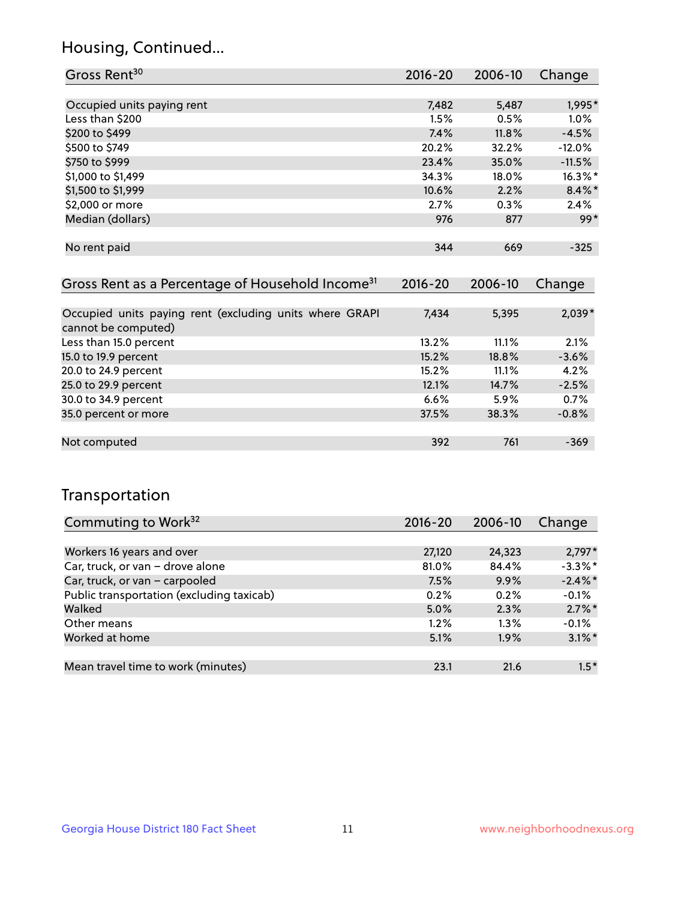### Housing, Continued...

| Gross Rent <sup>30</sup>                                     | 2016-20     | 2006-10 | Change     |
|--------------------------------------------------------------|-------------|---------|------------|
|                                                              |             |         |            |
| Occupied units paying rent                                   | 7,482       | 5,487   | 1,995*     |
| Less than \$200                                              | 1.5%        | 0.5%    | $1.0\%$    |
| \$200 to \$499                                               | 7.4%        | 11.8%   | $-4.5%$    |
| \$500 to \$749                                               | 20.2%       | 32.2%   | $-12.0%$   |
| \$750 to \$999                                               | 23.4%       | 35.0%   | $-11.5%$   |
| \$1,000 to \$1,499                                           | 34.3%       | 18.0%   | $16.3\%$ * |
| \$1,500 to \$1,999                                           | 10.6%       | 2.2%    | $8.4\%$ *  |
| \$2,000 or more                                              | 2.7%        | 0.3%    | 2.4%       |
| Median (dollars)                                             | 976         | 877     | $99*$      |
|                                                              |             |         |            |
| No rent paid                                                 | 344         | 669     | $-325$     |
|                                                              |             |         |            |
| Gross Rent as a Percentage of Household Income <sup>31</sup> | $2016 - 20$ | 2006-10 | Change     |

| 7,434 | 5,395 | $2,039*$ |
|-------|-------|----------|
|       |       |          |
| 13.2% | 11.1% | 2.1%     |
| 15.2% | 18.8% | $-3.6%$  |
| 15.2% | 11.1% | 4.2%     |
| 12.1% | 14.7% | $-2.5%$  |
| 6.6%  | 5.9%  | 0.7%     |
| 37.5% | 38.3% | $-0.8%$  |
|       |       |          |
| 392   | 761   | $-369$   |
|       |       |          |

#### Transportation

| Commuting to Work <sup>32</sup>           | 2016-20 | 2006-10 | Change     |
|-------------------------------------------|---------|---------|------------|
|                                           |         |         |            |
| Workers 16 years and over                 | 27,120  | 24,323  | $2,797*$   |
| Car, truck, or van - drove alone          | 81.0%   | 84.4%   | $-3.3%$ *  |
| Car, truck, or van - carpooled            | 7.5%    | 9.9%    | $-2.4\%$ * |
| Public transportation (excluding taxicab) | 0.2%    | 0.2%    | $-0.1%$    |
| Walked                                    | 5.0%    | 2.3%    | $2.7\%$ *  |
| Other means                               | $1.2\%$ | $1.3\%$ | $-0.1%$    |
| Worked at home                            | 5.1%    | 1.9%    | $3.1\%$ *  |
|                                           |         |         |            |
| Mean travel time to work (minutes)        | 23.1    | 21.6    | $1.5*$     |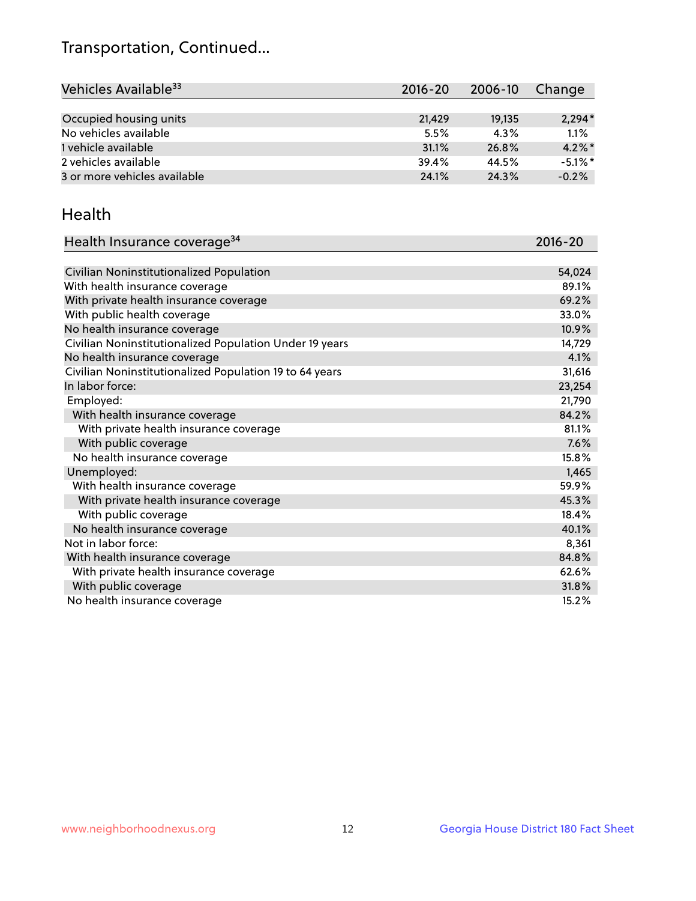## Transportation, Continued...

| Vehicles Available <sup>33</sup> | $2016 - 20$ | 2006-10 | Change     |
|----------------------------------|-------------|---------|------------|
|                                  |             |         |            |
| Occupied housing units           | 21,429      | 19,135  | $2,294*$   |
| No vehicles available            | 5.5%        | 4.3%    | 1.1%       |
| 1 vehicle available              | 31.1%       | 26.8%   | $4.2\%$ *  |
| 2 vehicles available             | 39.4%       | 44.5%   | $-5.1\%$ * |
| 3 or more vehicles available     | 24.1%       | 24.3%   | $-0.2%$    |

#### Health

| Health Insurance coverage <sup>34</sup>                 | 2016-20 |
|---------------------------------------------------------|---------|
|                                                         |         |
| Civilian Noninstitutionalized Population                | 54,024  |
| With health insurance coverage                          | 89.1%   |
| With private health insurance coverage                  | 69.2%   |
| With public health coverage                             | 33.0%   |
| No health insurance coverage                            | 10.9%   |
| Civilian Noninstitutionalized Population Under 19 years | 14,729  |
| No health insurance coverage                            | 4.1%    |
| Civilian Noninstitutionalized Population 19 to 64 years | 31,616  |
| In labor force:                                         | 23,254  |
| Employed:                                               | 21,790  |
| With health insurance coverage                          | 84.2%   |
| With private health insurance coverage                  | 81.1%   |
| With public coverage                                    | 7.6%    |
| No health insurance coverage                            | 15.8%   |
| Unemployed:                                             | 1,465   |
| With health insurance coverage                          | 59.9%   |
| With private health insurance coverage                  | 45.3%   |
| With public coverage                                    | 18.4%   |
| No health insurance coverage                            | 40.1%   |
| Not in labor force:                                     | 8,361   |
| With health insurance coverage                          | 84.8%   |
| With private health insurance coverage                  | 62.6%   |
| With public coverage                                    | 31.8%   |
| No health insurance coverage                            | 15.2%   |